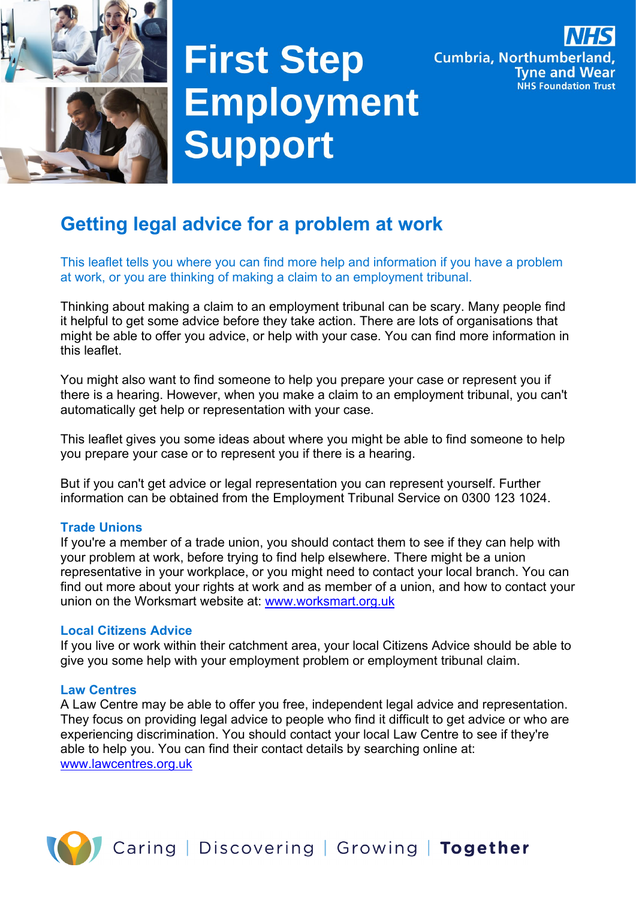

# **First Step Employment Support**



# **Getting legal advice for a problem at work**

This leaflet tells you where you can find more help and information if you have a problem at work, or you are thinking of making a claim to an employment tribunal.

Thinking about making a claim to an employment tribunal can be scary. Many people find it helpful to get some advice before they take action. There are lots of organisations that might be able to offer you advice, or help with your case. You can find more information in this leaflet.

You might also want to find someone to help you prepare your case or represent you if there is a hearing. However, when you make a claim to an employment tribunal, you can't automatically get help or representation with your case.

This leaflet gives you some ideas about where you might be able to find someone to help you prepare your case or to represent you if there is a hearing.

But if you can't get advice or legal representation you can represent yourself. Further information can be obtained from the Employment Tribunal Service on 0300 123 1024.

#### **Trade Unions**

If you're a member of a trade union, you should contact them to see if they can help with your problem at work, before trying to find help elsewhere. There might be a union representative in your workplace, or you might need to contact your local branch. You can find out more about your rights at work and as member of a union, and how to contact your union on the Worksmart website at: [www.worksmart.org.uk](http://www.worksmart.org.uk/)

#### **Local Citizens Advice**

If you live or work within their catchment area, your local Citizens Advice should be able to give you some help with your employment problem or employment tribunal claim.

#### **Law Centres**

A Law Centre may be able to offer you free, independent legal advice and representation. They focus on providing legal advice to people who find it difficult to get advice or who are experiencing discrimination. You should contact your local Law Centre to see if they're able to help you. You can find their contact details by searching online at: [www.lawcentres.org.uk](http://www.lawcentres.org.uk/)

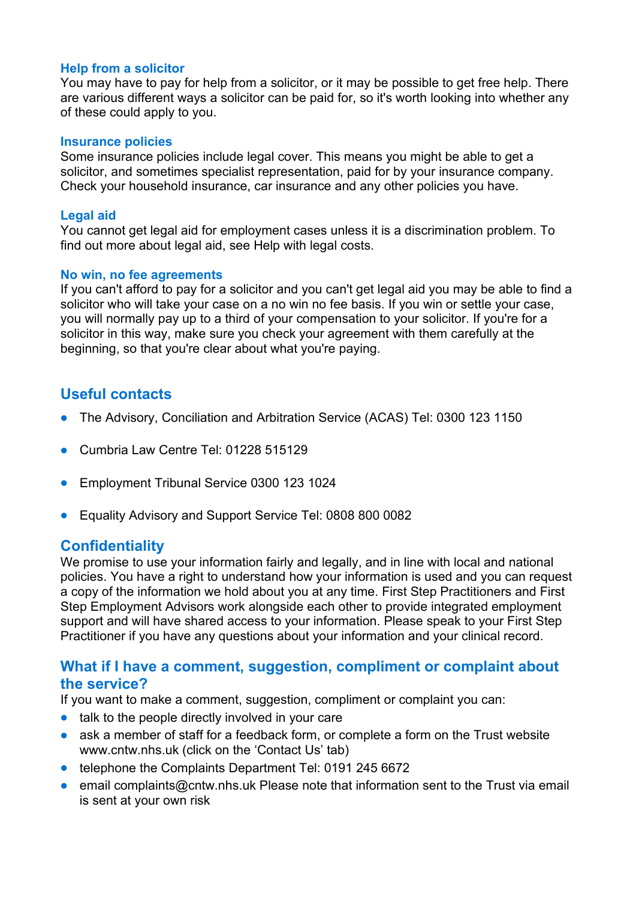#### **Help from a solicitor**

You may have to pay for help from a solicitor, or it may be possible to get free help. There are various different ways a solicitor can be paid for, so it's worth looking into whether any of these could apply to you.

#### **Insurance policies**

Some insurance policies include legal cover. This means you might be able to get a solicitor, and sometimes specialist representation, paid for by your insurance company. Check your household insurance, car insurance and any other policies you have.

#### **Legal aid**

You cannot get legal aid for employment cases unless it is a discrimination problem. To find out more about legal aid, see Help with legal costs.

#### **No win, no fee agreements**

If you can't afford to pay for a solicitor and you can't get legal aid you may be able to find a solicitor who will take your case on a no win no fee basis. If you win or settle your case, you will normally pay up to a third of your compensation to your solicitor. If you're for a solicitor in this way, make sure you check your agreement with them carefully at the beginning, so that you're clear about what you're paying.

# **Useful contacts**

- The Advisory, Conciliation and Arbitration Service (ACAS) Tel: 0300 123 1150
- Cumbria Law Centre Tel: 01228 515129
- Employment Tribunal Service 0300 123 1024
- Equality Advisory and Support Service Tel: 0808 800 0082

### **Confidentiality**

We promise to use your information fairly and legally, and in line with local and national policies. You have a right to understand how your information is used and you can request a copy of the information we hold about you at any time. First Step Practitioners and First Step Employment Advisors work alongside each other to provide integrated employment support and will have shared access to your information. Please speak to your First Step Practitioner if you have any questions about your information and your clinical record.

## **What if I have a comment, suggestion, compliment or complaint about the service?**

If you want to make a comment, suggestion, compliment or complaint you can:

- talk to the people directly involved in your care
- ask a member of staff for a feedback form, or complete a form on the Trust website www.cntw.nhs.uk (click on the 'Contact Us' tab)
- telephone the Complaints Department Tel: 0191 245 6672
- email complaints@cntw.nhs.uk Please note that information sent to the Trust via email is sent at your own risk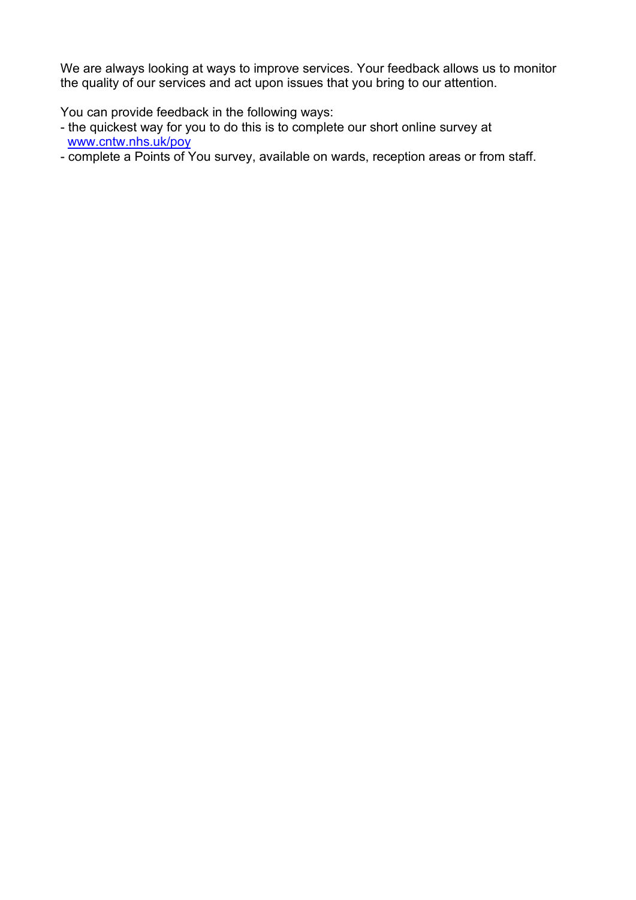We are always looking at ways to improve services. Your feedback allows us to monitor the quality of our services and act upon issues that you bring to our attention.

You can provide feedback in the following ways:

- the quickest way for you to do this is to complete our short online survey at [www.cntw.nhs.uk/poy](http://www.cntw.nhs.uk/poy)
- complete a Points of You survey, available on wards, reception areas or from staff.